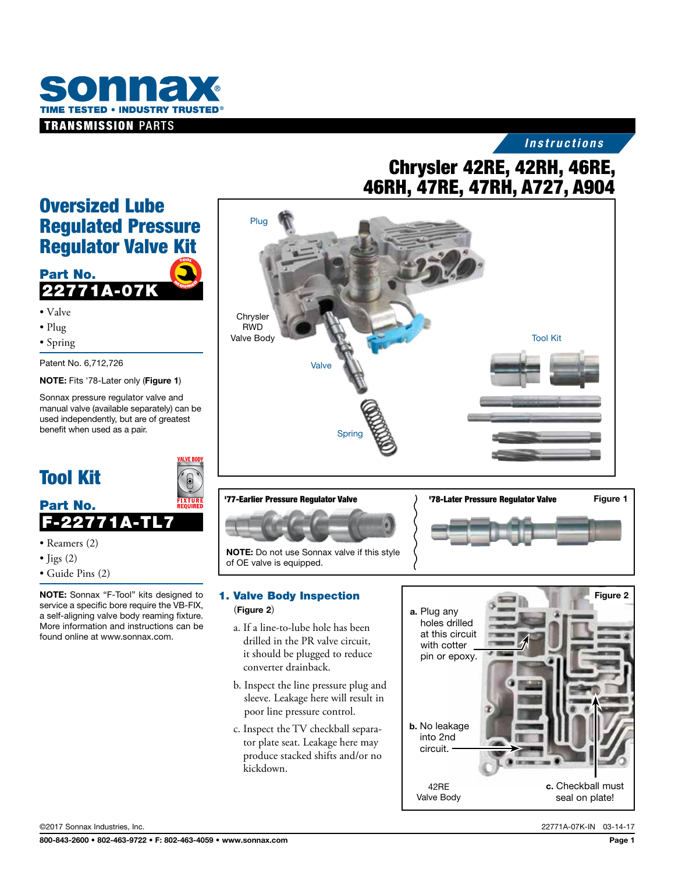

#### *Instructions*

# 46RH, 47RE, 47RH, A727, A904

### Oversized Lube Regulated Pressure Regulator Valve Kit TOOL

#### Part No. 2277 <sup>R</sup>EQUIRE<sup>D</sup> <sup>R</sup>EQURE<sup>D</sup>

- Valve
- Plug
- Spring

Patent No. 6,712,726

NOTE: Fits '78-Later only (Figure 1)

Sonnax pressure regulator valve and manual valve (available separately) can be used independently, but are of greatest benefit when used as a pair.



## Tool Kit

# Part No. **F-22771**

- Reamers (2)
- $\bullet$  Jigs (2)
- Guide Pins (2)

NOTE: Sonnax "F-Tool" kits designed to service a specific bore require the VB-FIX, a self-aligning valve body reaming fixture. More information and instructions can be found online at www.sonnax.com.



#### NOTE: Do not use Sonnax valve if this style of OE valve is equipped.

#### 1. Valve Body Inspection (Figure 2)

- a. If a line-to-lube hole has been drilled in the PR valve circuit, it should be plugged to reduce converter drainback.
- b. Inspect the line pressure plug and sleeve. Leakage here will result in poor line pressure control.
- c. Inspect the TV checkball separator plate seat. Leakage here may produce stacked shifts and/or no kickdown.



©2017 Sonnax Industries, Inc. 22771A-07K-IN 03-14-17